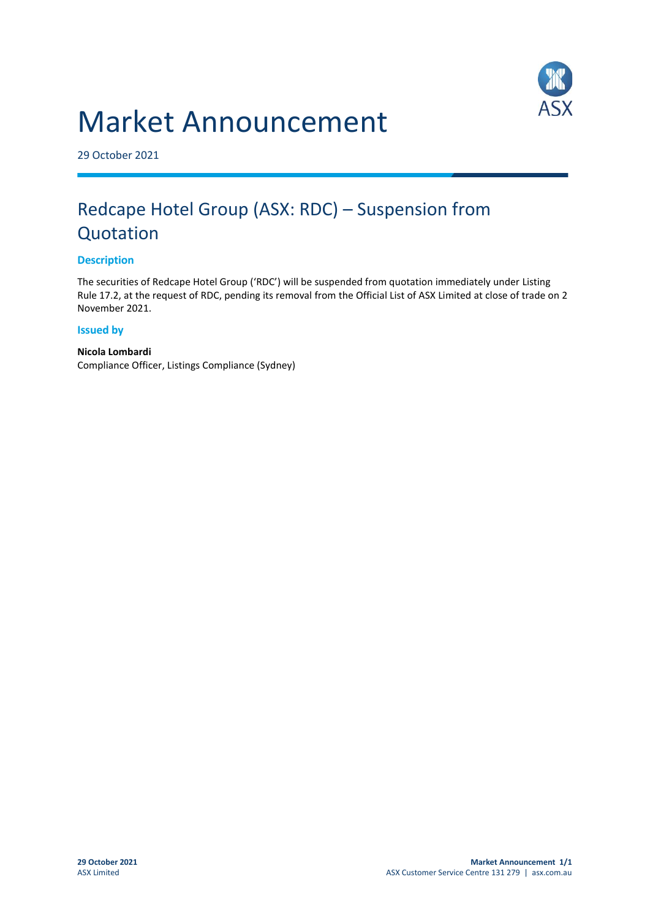# Market Announcement



29 October 2021

# Redcape Hotel Group (ASX: RDC) – Suspension from Quotation

## **Description**

The securities of Redcape Hotel Group ('RDC') will be suspended from quotation immediately under Listing Rule 17.2, at the request of RDC, pending its removal from the Official List of ASX Limited at close of trade on 2 November 2021.

### **Issued by**

**Nicola Lombardi** Compliance Officer, Listings Compliance (Sydney)